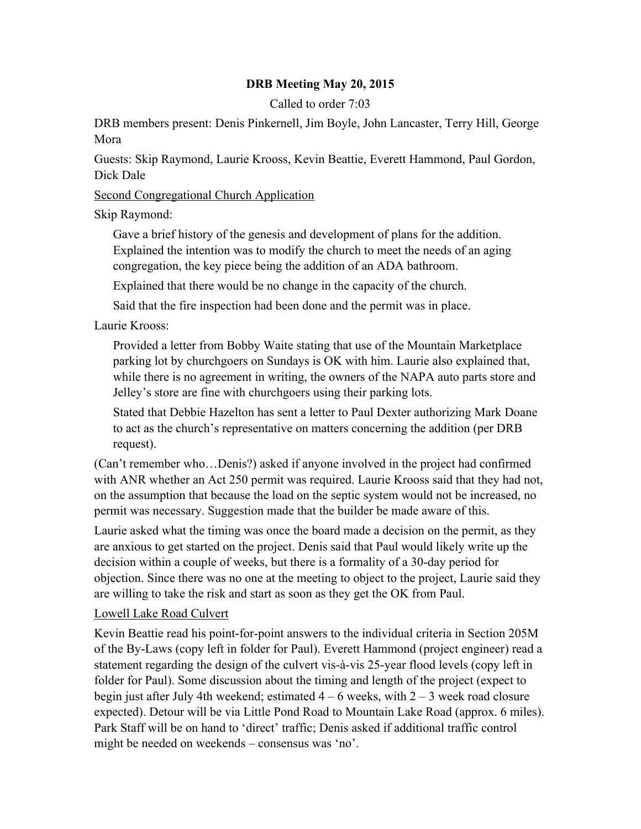## **DRB Meeting May 20, 2015**

Called to order 7:03

DRB members present: Denis Pinkernell, Jim Boyle, John Lancaster, Terry Hill, George Mora

Guests: Skip Raymond, Laurie Krooss, Kevin Beattie, Everett Hammond, Paul Gordon, Dick Dale

## Second Congregational Church Application

Skip Raymond:

Gave a brief history of the genesis and development of plans for the addition. Explained the intention was to modify the church to meet the needs of an aging congregation, the key piece being the addition of an ADA bathroom.

Explained that there would be no change in the capacity of the church.

Said that the fire inspection had been done and the permit was in place.

Laurie Krooss:

Provided a letter from Bobby Waite stating that use of the Mountain Marketplace parking lot by churchgoers on Sundays is OK with him. Laurie also explained that, while there is no agreement in writing, the owners of the NAPA auto parts store and Jelley's store are fine with churchgoers using their parking lots.

Stated that Debbie Hazelton has sent a letter to Paul Dexter authorizing Mark Doane to act as the church's representative on matters concerning the addition (per DRB request).

(Can't remember who…Denis?) asked if anyone involved in the project had confirmed with ANR whether an Act 250 permit was required. Laurie Krooss said that they had not, on the assumption that because the load on the septic system would not be increased, no permit was necessary. Suggestion made that the builder be made aware of this.

Laurie asked what the timing was once the board made a decision on the permit, as they are anxious to get started on the project. Denis said that Paul would likely write up the decision within a couple of weeks, but there is a formality of a 30-day period for objection. Since there was no one at the meeting to object to the project, Laurie said they are willing to take the risk and start as soon as they get the OK from Paul.

## Lowell Lake Road Culvert

Kevin Beattie read his point-for-point answers to the individual criteria in Section 205M of the By-Laws (copy left in folder for Paul). Everett Hammond (project engineer) read a statement regarding the design of the culvert vis-à-vis 25-year flood levels (copy left in folder for Paul). Some discussion about the timing and length of the project (expect to begin just after July 4th weekend; estimated  $4 - 6$  weeks, with  $2 - 3$  week road closure expected). Detour will be via Little Pond Road to Mountain Lake Road (approx. 6 miles). Park Staff will be on hand to 'direct' traffic; Denis asked if additional traffic control might be needed on weekends – consensus was 'no'.